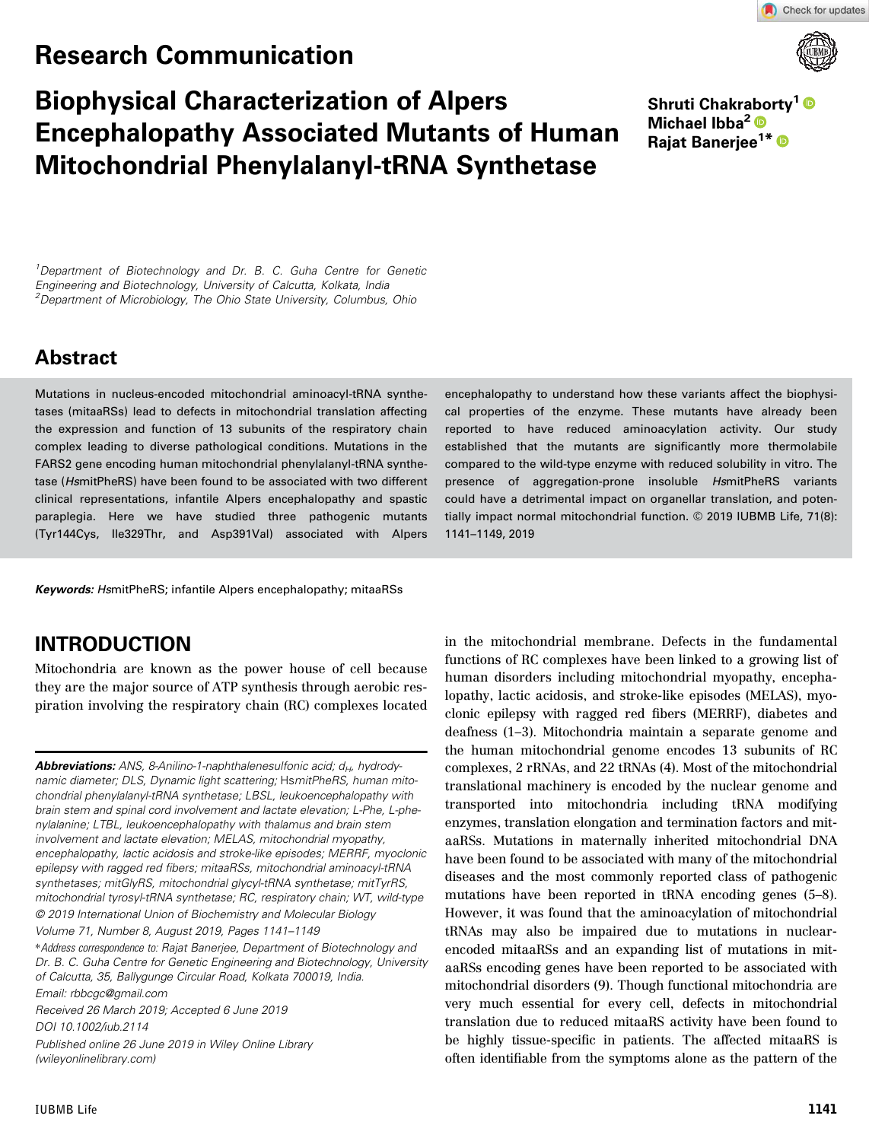# Research Communication



Check for updates

# Biophysical Characterization of Alpers Encephalopathy Associated Mutants of Human Mitochondrial Phenylalanyl-tRNA Synthetase

Shruti Chakraborty<sup>1</sup> Michael Ibba<sup>2</sup><sup>®</sup> Raiat Baneriee<sup>1\*</sup>

 $1$ Department of Biotechnology and Dr. B. C. Guha Centre for Genetic Engineering and Biotechnology, University of Calcutta, Kolkata, India <sup>2</sup>Department of Microbiology, The Ohio State University, Columbus, Ohio

# Abstract

Mutations in nucleus-encoded mitochondrial aminoacyl-tRNA synthetases (mitaaRSs) lead to defects in mitochondrial translation affecting the expression and function of 13 subunits of the respiratory chain complex leading to diverse pathological conditions. Mutations in the FARS2 gene encoding human mitochondrial phenylalanyl-tRNA synthetase (HsmitPheRS) have been found to be associated with two different clinical representations, infantile Alpers encephalopathy and spastic paraplegia. Here we have studied three pathogenic mutants (Tyr144Cys, Ile329Thr, and Asp391Val) associated with Alpers

Keywords: HsmitPheRS; infantile Alpers encephalopathy; mitaaRSs

# INTRODUCTION

Mitochondria are known as the power house of cell because they are the major source of ATP synthesis through aerobic respiration involving the respiratory chain (RC) complexes located

**Abbreviations:** ANS, 8-Anilino-1-naphthalenesulfonic acid;  $d_H$ , hydrodynamic diameter; DLS, Dynamic light scattering; HsmitPheRS, human mitochondrial phenylalanyl-tRNA synthetase; LBSL, leukoencephalopathy with brain stem and spinal cord involvement and lactate elevation; L-Phe, L-phenylalanine; LTBL, leukoencephalopathy with thalamus and brain stem involvement and lactate elevation; MELAS, mitochondrial myopathy, encephalopathy, lactic acidosis and stroke-like episodes; MERRF, myoclonic epilepsy with ragged red fibers; mitaaRSs, mitochondrial aminoacyl-tRNA synthetases; mitGlyRS, mitochondrial glycyl-tRNA synthetase; mitTyrRS, mitochondrial tyrosyl-tRNA synthetase; RC, respiratory chain; WT, wild-type © 2019 International Union of Biochemistry and Molecular Biology

Volume 71, Number 8, August 2019, Pages 1141–1149

Received 26 March 2019; Accepted 6 June 2019 DOI 10.1002/iub.2114 Published online 26 June 2019 in Wiley Online Library (wileyonlinelibrary.com)

encephalopathy to understand how these variants affect the biophysical properties of the enzyme. These mutants have already been reported to have reduced aminoacylation activity. Our study established that the mutants are significantly more thermolabile compared to the wild-type enzyme with reduced solubility in vitro. The presence of aggregation-prone insoluble HsmitPheRS variants could have a detrimental impact on organellar translation, and potentially impact normal mitochondrial function. © 2019 IUBMB Life, 71(8): 1141–1149, 2019

in the mitochondrial membrane. Defects in the fundamental functions of RC complexes have been linked to a growing list of human disorders including mitochondrial myopathy, encephalopathy, lactic acidosis, and stroke-like episodes (MELAS), myoclonic epilepsy with ragged red fibers (MERRF), diabetes and deafness (1–3). Mitochondria maintain a separate genome and the human mitochondrial genome encodes 13 subunits of RC complexes, 2 rRNAs, and 22 tRNAs (4). Most of the mitochondrial translational machinery is encoded by the nuclear genome and transported into mitochondria including tRNA modifying enzymes, translation elongation and termination factors and mitaaRSs. Mutations in maternally inherited mitochondrial DNA have been found to be associated with many of the mitochondrial diseases and the most commonly reported class of pathogenic mutations have been reported in tRNA encoding genes (5–8). However, it was found that the aminoacylation of mitochondrial tRNAs may also be impaired due to mutations in nuclearencoded mitaaRSs and an expanding list of mutations in mitaaRSs encoding genes have been reported to be associated with mitochondrial disorders (9). Though functional mitochondria are very much essential for every cell, defects in mitochondrial translation due to reduced mitaaRS activity have been found to be highly tissue-specific in patients. The affected mitaaRS is often identifiable from the symptoms alone as the pattern of the

<sup>\*</sup>Address correspondence to: Rajat Banerjee, Department of Biotechnology and Dr. B. C. Guha Centre for Genetic Engineering and Biotechnology, University of Calcutta, 35, Ballygunge Circular Road, Kolkata 700019, India. Email: rbbcgc@gmail.com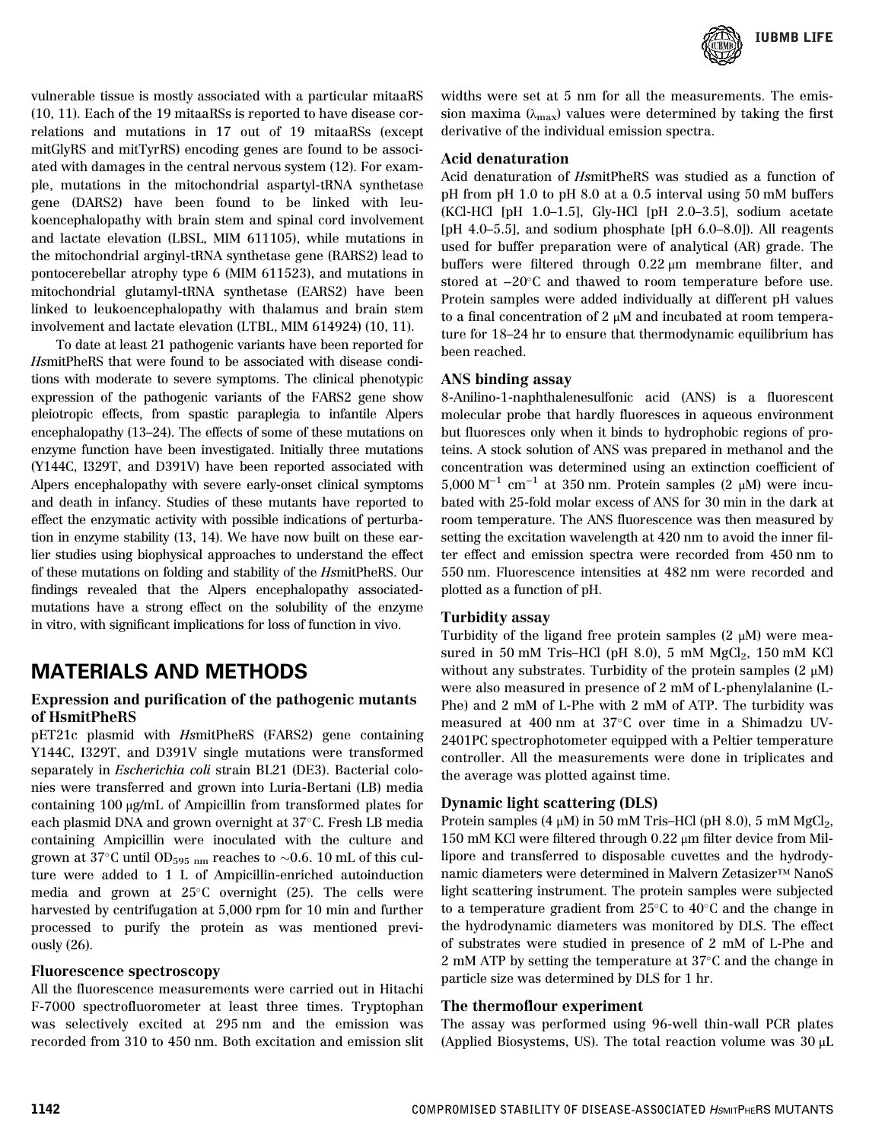

vulnerable tissue is mostly associated with a particular mitaaRS (10, 11). Each of the 19 mitaaRSs is reported to have disease correlations and mutations in 17 out of 19 mitaaRSs (except mitGlyRS and mitTyrRS) encoding genes are found to be associated with damages in the central nervous system (12). For example, mutations in the mitochondrial aspartyl-tRNA synthetase gene (DARS2) have been found to be linked with leukoencephalopathy with brain stem and spinal cord involvement and lactate elevation (LBSL, MIM 611105), while mutations in the mitochondrial arginyl-tRNA synthetase gene (RARS2) lead to pontocerebellar atrophy type 6 (MIM 611523), and mutations in mitochondrial glutamyl-tRNA synthetase (EARS2) have been linked to leukoencephalopathy with thalamus and brain stem involvement and lactate elevation (LTBL, MIM 614924) (10, 11).

To date at least 21 pathogenic variants have been reported for HsmitPheRS that were found to be associated with disease conditions with moderate to severe symptoms. The clinical phenotypic expression of the pathogenic variants of the FARS2 gene show pleiotropic effects, from spastic paraplegia to infantile Alpers encephalopathy (13–24). The effects of some of these mutations on enzyme function have been investigated. Initially three mutations (Y144C, I329T, and D391V) have been reported associated with Alpers encephalopathy with severe early-onset clinical symptoms and death in infancy. Studies of these mutants have reported to effect the enzymatic activity with possible indications of perturbation in enzyme stability (13, 14). We have now built on these earlier studies using biophysical approaches to understand the effect of these mutations on folding and stability of the HsmitPheRS. Our findings revealed that the Alpers encephalopathy associatedmutations have a strong effect on the solubility of the enzyme in vitro, with significant implications for loss of function in vivo.

### MATERIALS AND METHODS

### Expression and purification of the pathogenic mutants of HsmitPheRS

pET21c plasmid with HsmitPheRS (FARS2) gene containing Y144C, I329T, and D391V single mutations were transformed separately in Escherichia coli strain BL21 (DE3). Bacterial colonies were transferred and grown into Luria-Bertani (LB) media containing 100 μg/mL of Ampicillin from transformed plates for each plasmid DNA and grown overnight at 37°C. Fresh LB media containing Ampicillin were inoculated with the culture and grown at 37°C until OD<sub>595</sub> <sub>nm</sub> reaches to  $\sim$ 0.6. 10 mL of this culture were added to 1 L of Ampicillin-enriched autoinduction media and grown at  $25^{\circ}$ C overnight (25). The cells were harvested by centrifugation at 5,000 rpm for 10 min and further processed to purify the protein as was mentioned previously (26).

### Fluorescence spectroscopy

All the fluorescence measurements were carried out in Hitachi F-7000 spectrofluorometer at least three times. Tryptophan was selectively excited at 295 nm and the emission was recorded from 310 to 450 nm. Both excitation and emission slit widths were set at 5 nm for all the measurements. The emission maxima  $(\lambda_{\text{max}})$  values were determined by taking the first derivative of the individual emission spectra.

#### Acid denaturation

Acid denaturation of HsmitPheRS was studied as a function of pH from pH 1.0 to pH 8.0 at a 0.5 interval using 50 mM buffers (KCl-HCl [pH 1.0–1.5], Gly-HCl [pH 2.0–3.5], sodium acetate [pH 4.0–5.5], and sodium phosphate [pH  $6.0-8.0$ ]). All reagents used for buffer preparation were of analytical (AR) grade. The buffers were filtered through 0.22 μm membrane filter, and stored at  $-20^{\circ}$ C and thawed to room temperature before use. Protein samples were added individually at different pH values to a final concentration of 2 μM and incubated at room temperature for 18–24 hr to ensure that thermodynamic equilibrium has been reached.

#### ANS binding assay

8-Anilino-1-naphthalenesulfonic acid (ANS) is a fluorescent molecular probe that hardly fluoresces in aqueous environment but fluoresces only when it binds to hydrophobic regions of proteins. A stock solution of ANS was prepared in methanol and the concentration was determined using an extinction coefficient of 5,000 M−<sup>1</sup> cm−<sup>1</sup> at 350 nm. Protein samples (2 μM) were incubated with 25-fold molar excess of ANS for 30 min in the dark at room temperature. The ANS fluorescence was then measured by setting the excitation wavelength at 420 nm to avoid the inner filter effect and emission spectra were recorded from 450 nm to 550 nm. Fluorescence intensities at 482 nm were recorded and plotted as a function of pH.

### Turbidity assay

Turbidity of the ligand free protein samples (2 μM) were measured in 50 mM Tris–HCl (pH 8.0), 5 mM  $MgCl<sub>2</sub>$ , 150 mM KCl without any substrates. Turbidity of the protein samples (2  $\mu$ M) were also measured in presence of 2 mM of L-phenylalanine (L-Phe) and 2 mM of L-Phe with 2 mM of ATP. The turbidity was measured at 400 nm at 37°C over time in a Shimadzu UV-2401PC spectrophotometer equipped with a Peltier temperature controller. All the measurements were done in triplicates and the average was plotted against time.

### Dynamic light scattering (DLS)

Protein samples  $(4 \mu M)$  in 50 mM Tris–HCl (pH 8.0), 5 mM MgCl<sub>2</sub>, 150 mM KCl were filtered through 0.22 μm filter device from Millipore and transferred to disposable cuvettes and the hydrodynamic diameters were determined in Malvern Zetasizer™ NanoS light scattering instrument. The protein samples were subjected to a temperature gradient from  $25^{\circ}$ C to  $40^{\circ}$ C and the change in the hydrodynamic diameters was monitored by DLS. The effect of substrates were studied in presence of 2 mM of L-Phe and 2 mM ATP by setting the temperature at  $37^{\circ}$ C and the change in particle size was determined by DLS for 1 hr.

#### The thermoflour experiment

The assay was performed using 96-well thin-wall PCR plates (Applied Biosystems, US). The total reaction volume was 30 μL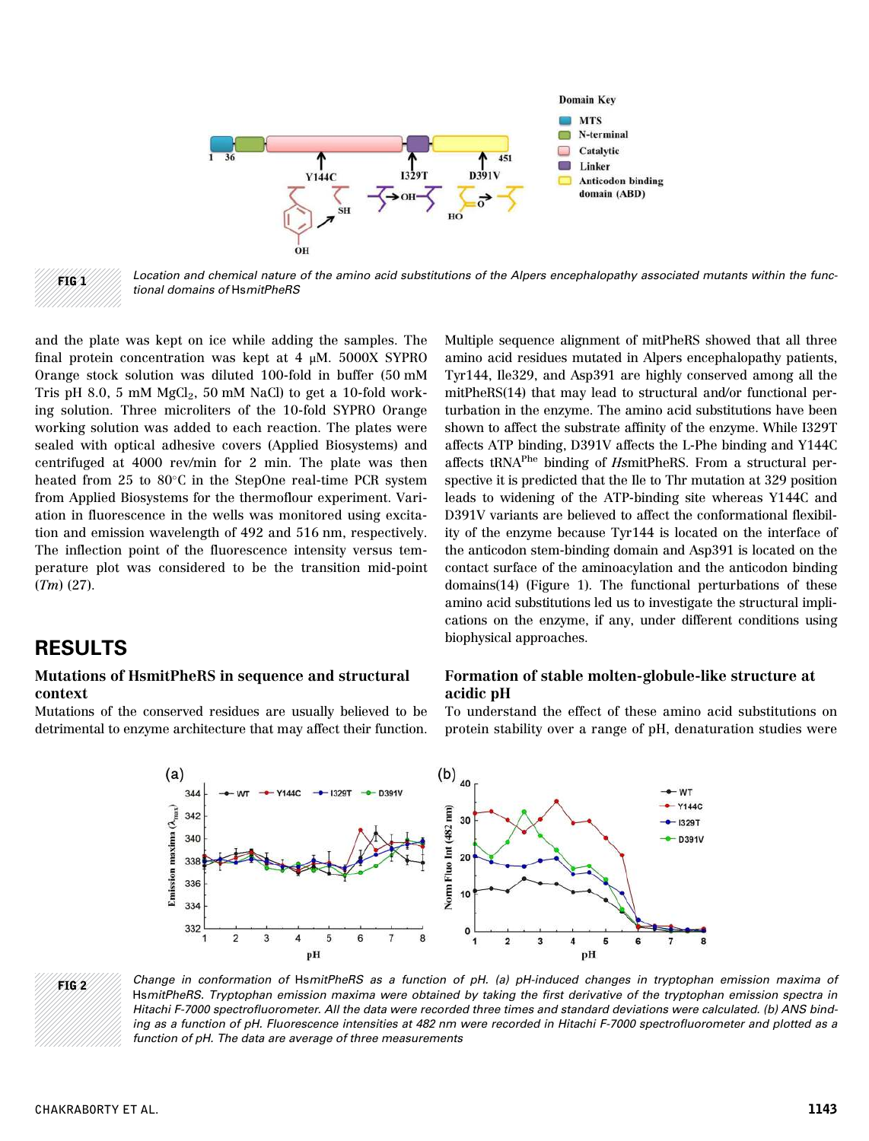

 $FIG 2$  Location and chemical nature of the amino acid substitutions of the Alpers encephalopathy associated mutants within the functional domains of HsmitPheRS

and the plate was kept on ice while adding the samples. The final protein concentration was kept at 4 μM. 5000X SYPRO Orange stock solution was diluted 100-fold in buffer (50 mM Tris pH 8.0, 5 mM  $MgCl<sub>2</sub>$ , 50 mM NaCl) to get a 10-fold working solution. Three microliters of the 10-fold SYPRO Orange working solution was added to each reaction. The plates were sealed with optical adhesive covers (Applied Biosystems) and centrifuged at 4000 rev/min for 2 min. The plate was then heated from 25 to 80 $\degree$ C in the StepOne real-time PCR system from Applied Biosystems for the thermoflour experiment. Variation in fluorescence in the wells was monitored using excitation and emission wavelength of 492 and 516 nm, respectively. The inflection point of the fluorescence intensity versus temperature plot was considered to be the transition mid-point (Tm) (27).

### RESULTS

### Mutations of HsmitPheRS in sequence and structural context

Mutations of the conserved residues are usually believed to be detrimental to enzyme architecture that may affect their function.

Multiple sequence alignment of mitPheRS showed that all three amino acid residues mutated in Alpers encephalopathy patients, Tyr144, Ile329, and Asp391 are highly conserved among all the mitPheRS(14) that may lead to structural and/or functional perturbation in the enzyme. The amino acid substitutions have been shown to affect the substrate affinity of the enzyme. While I329T affects ATP binding, D391V affects the L-Phe binding and Y144C affects tRNAPhe binding of HsmitPheRS. From a structural perspective it is predicted that the Ile to Thr mutation at 329 position leads to widening of the ATP-binding site whereas Y144C and D391V variants are believed to affect the conformational flexibility of the enzyme because Tyr144 is located on the interface of the anticodon stem-binding domain and Asp391 is located on the contact surface of the aminoacylation and the anticodon binding domains(14) (Figure 1). The functional perturbations of these amino acid substitutions led us to investigate the structural implications on the enzyme, if any, under different conditions using biophysical approaches.

#### Formation of stable molten-globule-like structure at acidic pH

To understand the effect of these amino acid substitutions on protein stability over a range of pH, denaturation studies were



FIG 2 Change in conformation of HsmitPheRS as a function of pH. (a) pH-induced changes in tryptophan emission maxima of HsmitPheRS. Tryptophan emission maxima were obtained by taking the first derivative of the tryptophan emission spectra in Hitachi F-7000 spectrofluorometer. All the data were recorded three times and standard deviations were calculated. (b) ANS binding as a function of pH. Fluorescence intensities at 482 nm were recorded in Hitachi F-7000 spectrofluorometer and plotted as a function of pH. The data are average of three measurements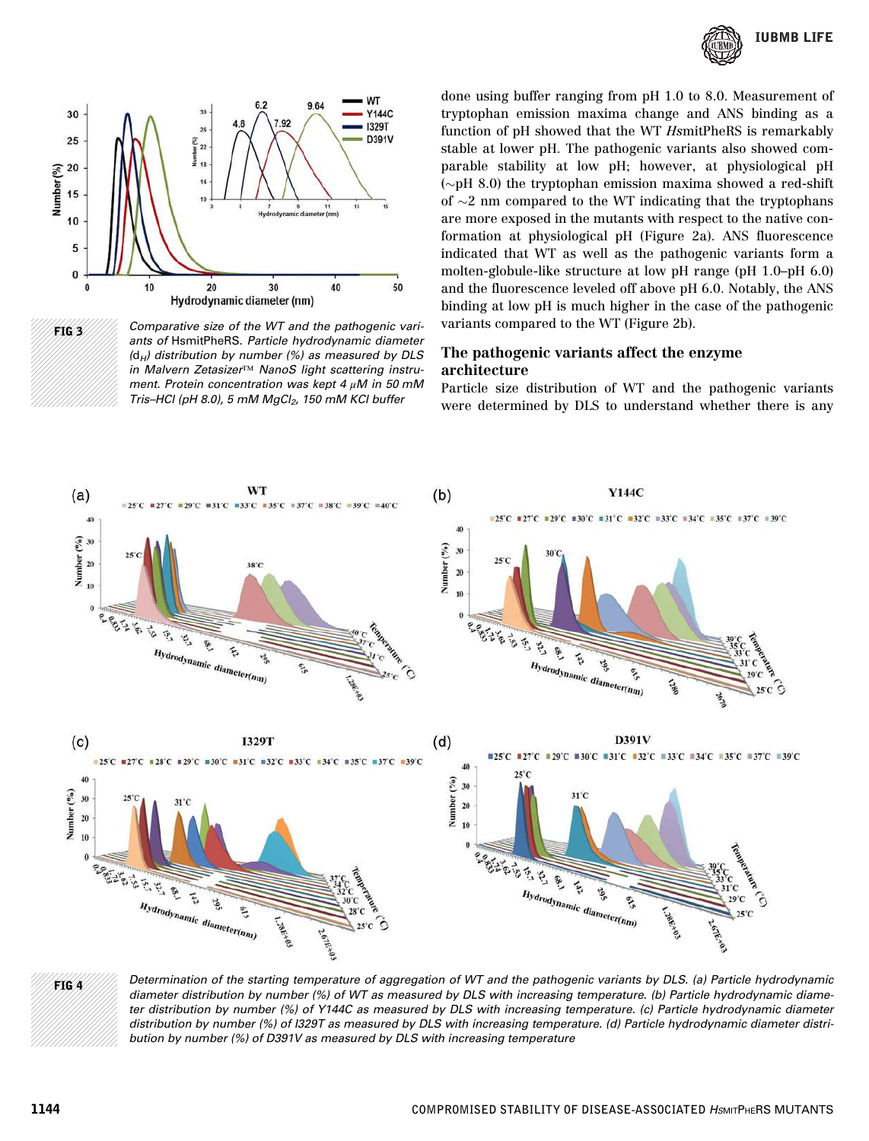





done using buffer ranging from pH 1.0 to 8.0. Measurement of tryptophan emission maxima change and ANS binding as a function of pH showed that the WT HsmitPheRS is remarkably stable at lower pH. The pathogenic variants also showed comparable stability at low pH; however, at physiological pH ( $\sim$ pH 8.0) the tryptophan emission maxima showed a red-shift of  $\sim$ 2 nm compared to the WT indicating that the tryptophans are more exposed in the mutants with respect to the native conformation at physiological pH (Figure 2a). ANS fluorescence indicated that WT as well as the pathogenic variants form a molten-globule-like structure at low pH range (pH 1.0–pH 6.0) and the fluorescence leveled off above pH 6.0. Notably, the ANS binding at low pH is much higher in the case of the pathogenic variants compared to the WT (Figure 2b).

### The pathogenic variants affect the enzyme architecture

Particle size distribution of WT and the pathogenic variants were determined by DLS to understand whether there is any



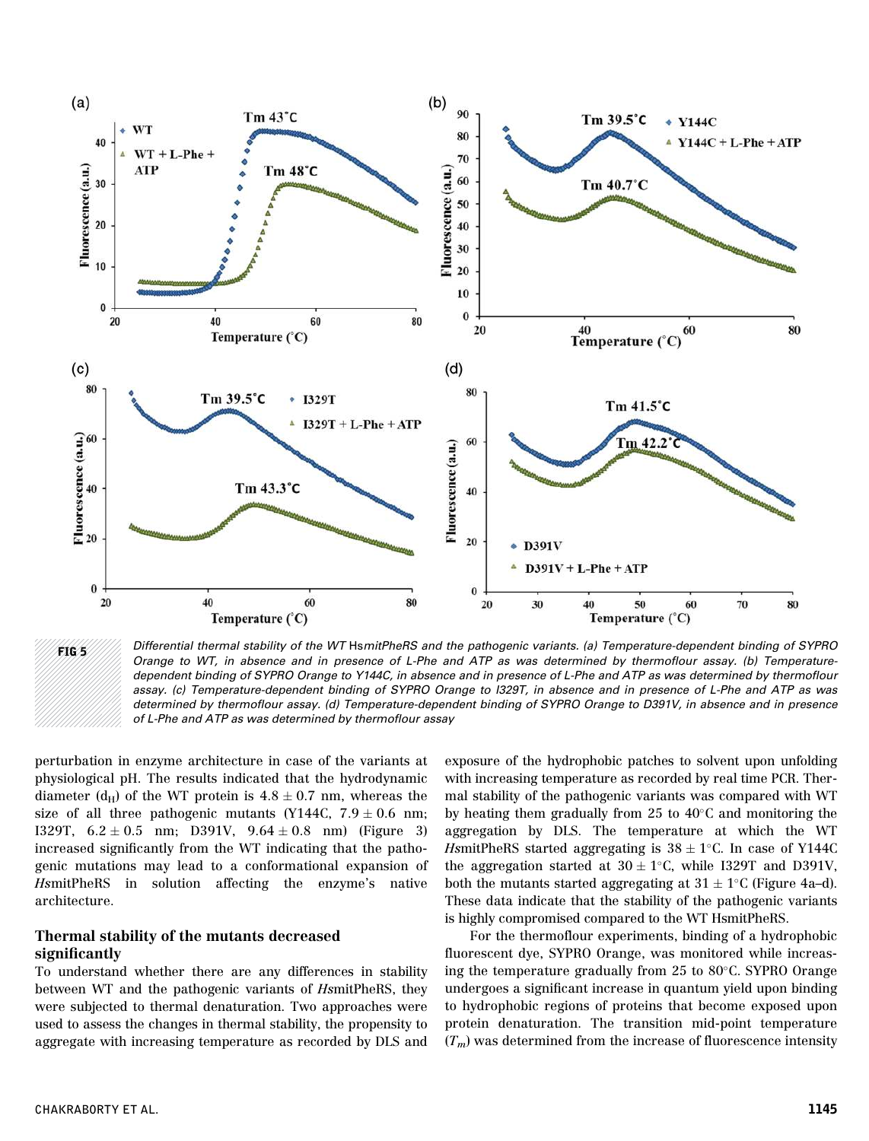

FIG 5////// Differential thermal stability of the WT HsmitPheRS and the pathogenic variants. (a) Temperature-dependent binding of SYPRO Orange to WT, in absence and in presence of L-Phe and ATP as was determined by thermoflour assay. (b) Temperaturedependent binding of SYPRO Orange to Y144C, in absence and in presence of L-Phe and ATP as was determined by thermoflour assay. (c) Temperature-dependent binding of SYPRO Orange to I329T, in absence and in presence of L-Phe and ATP as was determined by thermoflour assay. (d) Temperature-dependent binding of SYPRO Orange to D391V, in absence and in presence of L-Phe and ATP as was determined by thermoflour assay

perturbation in enzyme architecture in case of the variants at physiological pH. The results indicated that the hydrodynamic diameter (d<sub>H</sub>) of the WT protein is  $4.8 \pm 0.7$  nm, whereas the size of all three pathogenic mutants (Y144C,  $7.9 \pm 0.6$  nm; I329T,  $6.2 \pm 0.5$  nm; D391V,  $9.64 \pm 0.8$  nm) (Figure 3) increased significantly from the WT indicating that the pathogenic mutations may lead to a conformational expansion of HsmitPheRS in solution affecting the enzyme's native architecture.

### Thermal stability of the mutants decreased significantly

To understand whether there are any differences in stability between WT and the pathogenic variants of HsmitPheRS, they were subjected to thermal denaturation. Two approaches were used to assess the changes in thermal stability, the propensity to aggregate with increasing temperature as recorded by DLS and exposure of the hydrophobic patches to solvent upon unfolding with increasing temperature as recorded by real time PCR. Thermal stability of the pathogenic variants was compared with WT by heating them gradually from 25 to  $40^{\circ}$ C and monitoring the aggregation by DLS. The temperature at which the WT HsmitPheRS started aggregating is  $38 \pm 1^{\circ}$ C. In case of Y144C the aggregation started at  $30 \pm 1$ °C, while I329T and D391V, both the mutants started aggregating at  $31 \pm 1^{\circ}$ C (Figure 4a-d). These data indicate that the stability of the pathogenic variants is highly compromised compared to the WT HsmitPheRS.

For the thermoflour experiments, binding of a hydrophobic fluorescent dye, SYPRO Orange, was monitored while increasing the temperature gradually from 25 to 80°C. SYPRO Orange undergoes a significant increase in quantum yield upon binding to hydrophobic regions of proteins that become exposed upon protein denaturation. The transition mid-point temperature  $(T_m)$  was determined from the increase of fluorescence intensity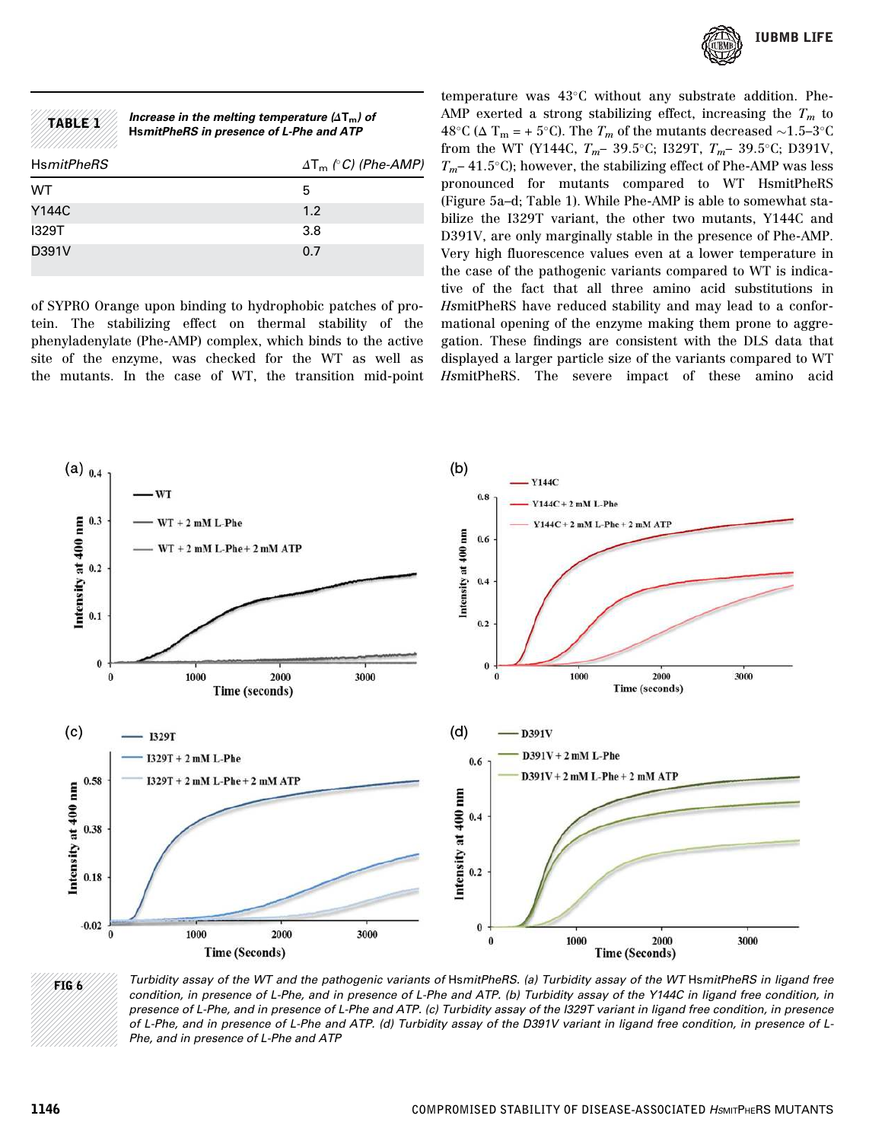

| table      | Increase in the melting temperature $(\Delta T_m)$ of<br>HsmitPheRS in presence of L-Phe and ATP |                              |
|------------|--------------------------------------------------------------------------------------------------|------------------------------|
| HsmitPheRS |                                                                                                  | $\Delta T_m$ (° C) (Phe-AMP) |
| WТ         |                                                                                                  | 5                            |
| Y144C      |                                                                                                  | 1.2                          |
| 1329T      |                                                                                                  | 3.8                          |
| D391V      |                                                                                                  | 0.7                          |

of SYPRO Orange upon binding to hydrophobic patches of protein. The stabilizing effect on thermal stability of the phenyladenylate (Phe-AMP) complex, which binds to the active site of the enzyme, was checked for the WT as well as the mutants. In the case of WT, the transition mid-point temperature was  $43^{\circ}$ C without any substrate addition. Phe-AMP exerted a strong stabilizing effect, increasing the  $T_m$  to 48°C ( $\Delta$  T<sub>m</sub> = + 5°C). The  $T_m$  of the mutants decreased  $\sim$ 1.5–3°C from the WT (Y144C,  $T_m$ – 39.5°C; I329T,  $T_m$ – 39.5°C; D391V,  $T_m$ – 41.5°C); however, the stabilizing effect of Phe-AMP was less pronounced for mutants compared to WT HsmitPheRS (Figure 5a–d; Table 1). While Phe-AMP is able to somewhat stabilize the I329T variant, the other two mutants, Y144C and D391V, are only marginally stable in the presence of Phe-AMP. Very high fluorescence values even at a lower temperature in the case of the pathogenic variants compared to WT is indicative of the fact that all three amino acid substitutions in HsmitPheRS have reduced stability and may lead to a conformational opening of the enzyme making them prone to aggregation. These findings are consistent with the DLS data that displayed a larger particle size of the variants compared to WT HsmitPheRS. The severe impact of these amino acid



FIG 6 Turbidity assay of the WT and the pathogenic variants of HsmitPheRS. (a) Turbidity assay of the WT HsmitPheRS in ligand free condition, in presence of L-Phe, and in presence of L-Phe and ATP. (b) Turbidity assay of the Y144C in ligand free condition, in presence of L-Phe, and in presence of L-Phe and ATP. (c) Turbidity assay of the I329T variant in ligand free condition, in presence of L-Phe, and in presence of L-Phe and ATP. (d) Turbidity assay of the D391V variant in ligand free condition, in presence of L-Phe, and in presence of L-Phe and ATP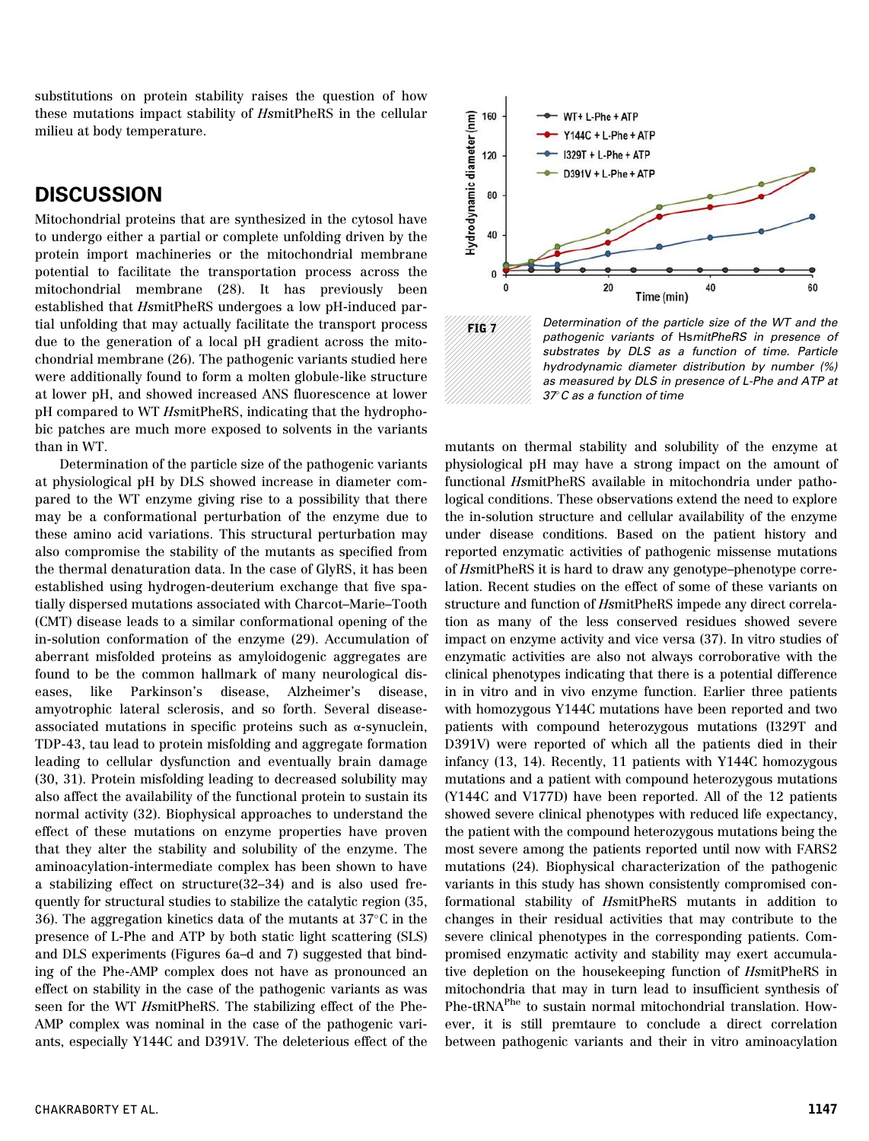substitutions on protein stability raises the question of how these mutations impact stability of HsmitPheRS in the cellular milieu at body temperature.

### **DISCUSSION**

Mitochondrial proteins that are synthesized in the cytosol have to undergo either a partial or complete unfolding driven by the protein import machineries or the mitochondrial membrane potential to facilitate the transportation process across the mitochondrial membrane (28). It has previously been established that HsmitPheRS undergoes a low pH-induced partial unfolding that may actually facilitate the transport process due to the generation of a local pH gradient across the mitochondrial membrane (26). The pathogenic variants studied here were additionally found to form a molten globule-like structure at lower pH, and showed increased ANS fluorescence at lower pH compared to WT HsmitPheRS, indicating that the hydrophobic patches are much more exposed to solvents in the variants than in WT.

Determination of the particle size of the pathogenic variants at physiological pH by DLS showed increase in diameter compared to the WT enzyme giving rise to a possibility that there may be a conformational perturbation of the enzyme due to these amino acid variations. This structural perturbation may also compromise the stability of the mutants as specified from the thermal denaturation data. In the case of GlyRS, it has been established using hydrogen-deuterium exchange that five spatially dispersed mutations associated with Charcot–Marie–Tooth (CMT) disease leads to a similar conformational opening of the in-solution conformation of the enzyme (29). Accumulation of aberrant misfolded proteins as amyloidogenic aggregates are found to be the common hallmark of many neurological diseases, like Parkinson's disease, Alzheimer's disease, amyotrophic lateral sclerosis, and so forth. Several diseaseassociated mutations in specific proteins such as  $\alpha$ -synuclein, TDP-43, tau lead to protein misfolding and aggregate formation leading to cellular dysfunction and eventually brain damage (30, 31). Protein misfolding leading to decreased solubility may also affect the availability of the functional protein to sustain its normal activity (32). Biophysical approaches to understand the effect of these mutations on enzyme properties have proven that they alter the stability and solubility of the enzyme. The aminoacylation-intermediate complex has been shown to have a stabilizing effect on structure(32–34) and is also used frequently for structural studies to stabilize the catalytic region (35, 36). The aggregation kinetics data of the mutants at  $37^{\circ}$ C in the presence of L-Phe and ATP by both static light scattering (SLS) and DLS experiments (Figures 6a–d and 7) suggested that binding of the Phe-AMP complex does not have as pronounced an effect on stability in the case of the pathogenic variants as was seen for the WT HsmitPheRS. The stabilizing effect of the Phe-AMP complex was nominal in the case of the pathogenic variants, especially Y144C and D391V. The deleterious effect of the



 $\mathbf{FIG}$  *T* Determination of the particle size of the WT and the pathogenic variants of HsmitPheRS in presence of substrates by DLS as a function of time. Particle hydrodynamic diameter distribution by number (%) as measured by DLS in presence of L-Phe and ATP at 37C as a function of time

mutants on thermal stability and solubility of the enzyme at physiological pH may have a strong impact on the amount of functional HsmitPheRS available in mitochondria under pathological conditions. These observations extend the need to explore the in-solution structure and cellular availability of the enzyme under disease conditions. Based on the patient history and reported enzymatic activities of pathogenic missense mutations of HsmitPheRS it is hard to draw any genotype–phenotype correlation. Recent studies on the effect of some of these variants on structure and function of HsmitPheRS impede any direct correlation as many of the less conserved residues showed severe impact on enzyme activity and vice versa (37). In vitro studies of enzymatic activities are also not always corroborative with the clinical phenotypes indicating that there is a potential difference in in vitro and in vivo enzyme function. Earlier three patients with homozygous Y144C mutations have been reported and two patients with compound heterozygous mutations (I329T and D391V) were reported of which all the patients died in their infancy (13, 14). Recently, 11 patients with Y144C homozygous mutations and a patient with compound heterozygous mutations (Y144C and V177D) have been reported. All of the 12 patients showed severe clinical phenotypes with reduced life expectancy, the patient with the compound heterozygous mutations being the most severe among the patients reported until now with FARS2 mutations (24). Biophysical characterization of the pathogenic variants in this study has shown consistently compromised conformational stability of HsmitPheRS mutants in addition to changes in their residual activities that may contribute to the severe clinical phenotypes in the corresponding patients. Compromised enzymatic activity and stability may exert accumulative depletion on the housekeeping function of HsmitPheRS in mitochondria that may in turn lead to insufficient synthesis of Phe-tRNA<sup>Phe</sup> to sustain normal mitochondrial translation. However, it is still premtaure to conclude a direct correlation between pathogenic variants and their in vitro aminoacylation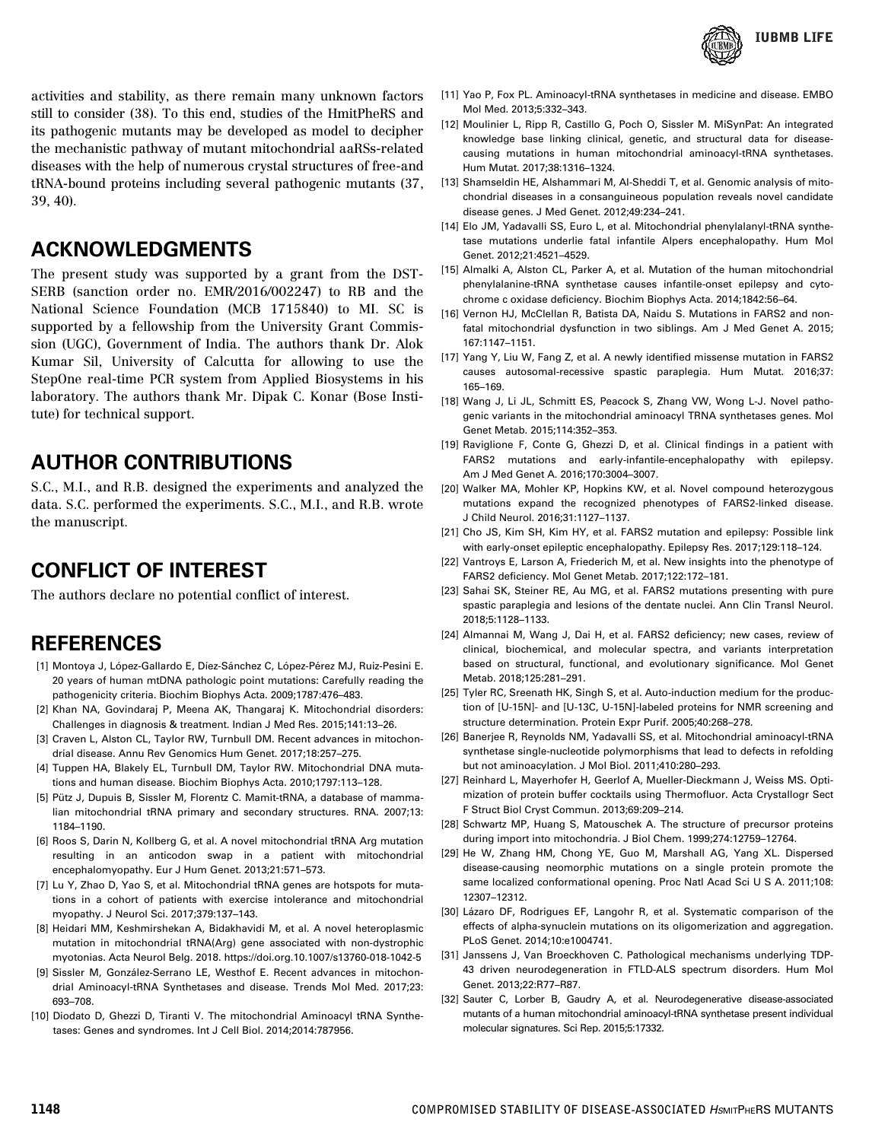

activities and stability, as there remain many unknown factors still to consider (38). To this end, studies of the HmitPheRS and its pathogenic mutants may be developed as model to decipher the mechanistic pathway of mutant mitochondrial aaRSs-related diseases with the help of numerous crystal structures of free-and tRNA-bound proteins including several pathogenic mutants (37, 39, 40).

### ACKNOWLEDGMENTS

The present study was supported by a grant from the DST-SERB (sanction order no. EMR/2016/002247) to RB and the National Science Foundation (MCB 1715840) to MI. SC is supported by a fellowship from the University Grant Commission (UGC), Government of India. The authors thank Dr. Alok Kumar Sil, University of Calcutta for allowing to use the StepOne real-time PCR system from Applied Biosystems in his laboratory. The authors thank Mr. Dipak C. Konar (Bose Institute) for technical support.

# AUTHOR CONTRIBUTIONS

S.C., M.I., and R.B. designed the experiments and analyzed the data. S.C. performed the experiments. S.C., M.I., and R.B. wrote the manuscript.

# CONFLICT OF INTEREST

The authors declare no potential conflict of interest.

# REFERENCES

- [1] Montoya J, López-Gallardo E, Díez-Sánchez C, López-Pérez MJ, Ruiz-Pesini E. 20 years of human mtDNA pathologic point mutations: Carefully reading the pathogenicity criteria. Biochim Biophys Acta. 2009;1787:476–483.
- [2] Khan NA, Govindaraj P, Meena AK, Thangaraj K. Mitochondrial disorders: Challenges in diagnosis & treatment. Indian J Med Res. 2015;141:13–26.
- [3] Craven L, Alston CL, Taylor RW, Turnbull DM. Recent advances in mitochondrial disease. Annu Rev Genomics Hum Genet. 2017;18:257–275.
- [4] Tuppen HA, Blakely EL, Turnbull DM, Taylor RW. Mitochondrial DNA mutations and human disease. Biochim Biophys Acta. 2010;1797:113–128.
- [5] Pütz J, Dupuis B, Sissler M, Florentz C. Mamit-tRNA, a database of mammalian mitochondrial tRNA primary and secondary structures. RNA. 2007;13: 1184–1190.
- [6] Roos S, Darin N, Kollberg G, et al. A novel mitochondrial tRNA Arg mutation resulting in an anticodon swap in a patient with mitochondrial encephalomyopathy. Eur J Hum Genet. 2013;21:571–573.
- [7] Lu Y, Zhao D, Yao S, et al. Mitochondrial tRNA genes are hotspots for mutations in a cohort of patients with exercise intolerance and mitochondrial myopathy. J Neurol Sci. 2017;379:137–143.
- [8] Heidari MM, Keshmirshekan A, Bidakhavidi M, et al. A novel heteroplasmic mutation in mitochondrial tRNA(Arg) gene associated with non-dystrophic myotonias. Acta Neurol Belg. 2018. https://doi.org.10.1007/s13760-018-1042-5
- [9] Sissler M, González-Serrano LE, Westhof E. Recent advances in mitochondrial Aminoacyl-tRNA Synthetases and disease. Trends Mol Med. 2017;23: 693–708.
- [10] Diodato D, Ghezzi D, Tiranti V. The mitochondrial Aminoacyl tRNA Synthetases: Genes and syndromes. Int J Cell Biol. 2014;2014:787956.
- [11] Yao P, Fox PL. Aminoacyl-tRNA synthetases in medicine and disease. EMBO Mol Med. 2013;5:332–343.
- [12] Moulinier L, Ripp R, Castillo G, Poch O, Sissler M. MiSynPat: An integrated knowledge base linking clinical, genetic, and structural data for diseasecausing mutations in human mitochondrial aminoacyl-tRNA synthetases. Hum Mutat. 2017;38:1316–1324.
- [13] Shamseldin HE, Alshammari M, Al-Sheddi T, et al. Genomic analysis of mitochondrial diseases in a consanguineous population reveals novel candidate disease genes. J Med Genet. 2012;49:234–241.
- [14] Elo JM, Yadavalli SS, Euro L, et al. Mitochondrial phenylalanyl-tRNA synthetase mutations underlie fatal infantile Alpers encephalopathy. Hum Mol Genet. 2012;21:4521–4529.
- [15] Almalki A, Alston CL, Parker A, et al. Mutation of the human mitochondrial phenylalanine-tRNA synthetase causes infantile-onset epilepsy and cytochrome c oxidase deficiency. Biochim Biophys Acta. 2014;1842:56–64.
- [16] Vernon HJ, McClellan R, Batista DA, Naidu S. Mutations in FARS2 and nonfatal mitochondrial dysfunction in two siblings. Am J Med Genet A. 2015; 167:1147–1151.
- [17] Yang Y, Liu W, Fang Z, et al. A newly identified missense mutation in FARS2 causes autosomal-recessive spastic paraplegia. Hum Mutat. 2016;37: 165–169.
- [18] Wang J, Li JL, Schmitt ES, Peacock S, Zhang VW, Wong L-J. Novel pathogenic variants in the mitochondrial aminoacyl TRNA synthetases genes. Mol Genet Metab. 2015;114:352–353.
- [19] Raviglione F, Conte G, Ghezzi D, et al. Clinical findings in a patient with FARS2 mutations and early-infantile-encephalopathy with epilepsy. Am J Med Genet A. 2016;170:3004–3007.
- [20] Walker MA, Mohler KP, Hopkins KW, et al. Novel compound heterozygous mutations expand the recognized phenotypes of FARS2-linked disease. J Child Neurol. 2016;31:1127–1137.
- [21] Cho JS, Kim SH, Kim HY, et al. FARS2 mutation and epilepsy: Possible link with early-onset epileptic encephalopathy. Epilepsy Res. 2017;129:118–124.
- [22] Vantroys E, Larson A, Friederich M, et al. New insights into the phenotype of FARS2 deficiency. Mol Genet Metab. 2017;122:172–181.
- [23] Sahai SK, Steiner RE, Au MG, et al. FARS2 mutations presenting with pure spastic paraplegia and lesions of the dentate nuclei. Ann Clin Transl Neurol. 2018;5:1128–1133.
- [24] Almannai M, Wang J, Dai H, et al. FARS2 deficiency; new cases, review of clinical, biochemical, and molecular spectra, and variants interpretation based on structural, functional, and evolutionary significance. Mol Genet Metab. 2018;125:281–291.
- [25] Tyler RC, Sreenath HK, Singh S, et al. Auto-induction medium for the production of [U-15N]- and [U-13C, U-15N]-labeled proteins for NMR screening and structure determination. Protein Expr Purif. 2005;40:268–278.
- [26] Banerjee R, Reynolds NM, Yadavalli SS, et al. Mitochondrial aminoacyl-tRNA synthetase single-nucleotide polymorphisms that lead to defects in refolding but not aminoacylation. J Mol Biol. 2011;410:280–293.
- [27] Reinhard L, Mayerhofer H, Geerlof A, Mueller-Dieckmann J, Weiss MS. Optimization of protein buffer cocktails using Thermofluor. Acta Crystallogr Sect F Struct Biol Cryst Commun. 2013;69:209–214.
- [28] Schwartz MP, Huang S, Matouschek A. The structure of precursor proteins during import into mitochondria. J Biol Chem. 1999;274:12759–12764.
- [29] He W, Zhang HM, Chong YE, Guo M, Marshall AG, Yang XL. Dispersed disease-causing neomorphic mutations on a single protein promote the same localized conformational opening. Proc Natl Acad Sci U S A. 2011;108: 12307–12312.
- [30] Lázaro DF, Rodrigues EF, Langohr R, et al. Systematic comparison of the effects of alpha-synuclein mutations on its oligomerization and aggregation. PLoS Genet. 2014;10:e1004741.
- [31] Janssens J, Van Broeckhoven C. Pathological mechanisms underlying TDP-43 driven neurodegeneration in FTLD-ALS spectrum disorders. Hum Mol Genet. 2013;22:R77–R87.
- [32] Sauter C, Lorber B, Gaudry A, et al. Neurodegenerative disease-associated mutants of a human mitochondrial aminoacyl-tRNA synthetase present individual molecular signatures. Sci Rep. 2015;5:17332.